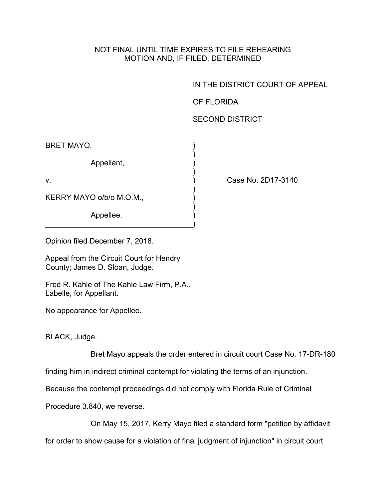## NOT FINAL UNTIL TIME EXPIRES TO FILE REHEARING MOTION AND, IF FILED, DETERMINED

IN THE DISTRICT COURT OF APPEAL

OF FLORIDA

## SECOND DISTRICT

| <b>BRET MAYO,</b>        |  |
|--------------------------|--|
| Appellant,               |  |
| $V_{\cdot}$              |  |
| KERRY MAYO o/b/o M.O.M., |  |
| Appellee.                |  |

Case No. 2D17-3140

Opinion filed December 7, 2018.

Appeal from the Circuit Court for Hendry County; James D. Sloan, Judge.

Fred R. Kahle of The Kahle Law Firm, P.A., Labelle, for Appellant.

No appearance for Appellee.

BLACK, Judge.

Bret Mayo appeals the order entered in circuit court Case No. 17-DR-180

finding him in indirect criminal contempt for violating the terms of an injunction.

Because the contempt proceedings did not comply with Florida Rule of Criminal

Procedure 3.840, we reverse.

On May 15, 2017, Kerry Mayo filed a standard form "petition by affidavit

for order to show cause for a violation of final judgment of injunction" in circuit court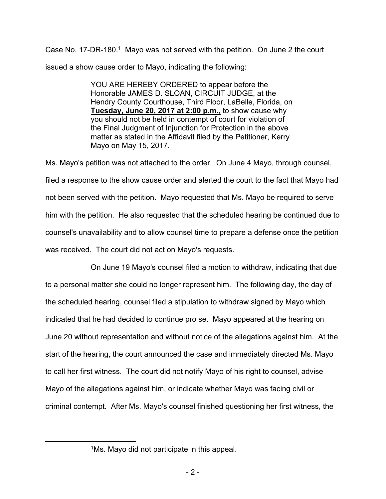Case No. 17-DR-180.<sup>1</sup> Mayo was not served with the petition. On June 2 the court issued a show cause order to Mayo, indicating the following:

> YOU ARE HEREBY ORDERED to appear before the Honorable JAMES D. SLOAN, CIRCUIT JUDGE, at the Hendry County Courthouse, Third Floor, LaBelle, Florida, on **Tuesday, June 20, 2017 at 2:00 p.m.,** to show cause why you should not be held in contempt of court for violation of the Final Judgment of Injunction for Protection in the above matter as stated in the Affidavit filed by the Petitioner, Kerry Mayo on May 15, 2017.

Ms. Mayo's petition was not attached to the order. On June 4 Mayo, through counsel, filed a response to the show cause order and alerted the court to the fact that Mayo had not been served with the petition. Mayo requested that Ms. Mayo be required to serve him with the petition. He also requested that the scheduled hearing be continued due to counsel's unavailability and to allow counsel time to prepare a defense once the petition was received. The court did not act on Mayo's requests.

On June 19 Mayo's counsel filed a motion to withdraw, indicating that due to a personal matter she could no longer represent him. The following day, the day of the scheduled hearing, counsel filed a stipulation to withdraw signed by Mayo which indicated that he had decided to continue pro se. Mayo appeared at the hearing on June 20 without representation and without notice of the allegations against him. At the start of the hearing, the court announced the case and immediately directed Ms. Mayo to call her first witness. The court did not notify Mayo of his right to counsel, advise Mayo of the allegations against him, or indicate whether Mayo was facing civil or criminal contempt. After Ms. Mayo's counsel finished questioning her first witness, the

<sup>1</sup>Ms. Mayo did not participate in this appeal.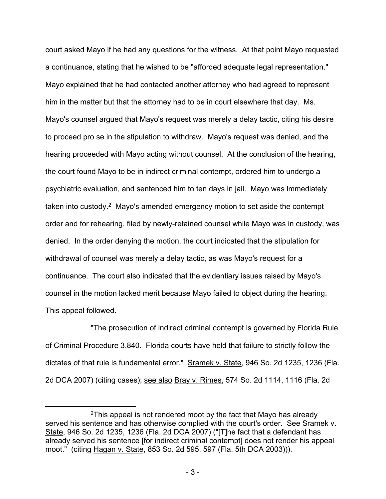court asked Mayo if he had any questions for the witness. At that point Mayo requested a continuance, stating that he wished to be "afforded adequate legal representation." Mayo explained that he had contacted another attorney who had agreed to represent him in the matter but that the attorney had to be in court elsewhere that day. Ms. Mayo's counsel argued that Mayo's request was merely a delay tactic, citing his desire to proceed pro se in the stipulation to withdraw. Mayo's request was denied, and the hearing proceeded with Mayo acting without counsel. At the conclusion of the hearing, the court found Mayo to be in indirect criminal contempt, ordered him to undergo a psychiatric evaluation, and sentenced him to ten days in jail. Mayo was immediately taken into custody.<sup>2</sup> Mayo's amended emergency motion to set aside the contempt order and for rehearing, filed by newly-retained counsel while Mayo was in custody, was denied. In the order denying the motion, the court indicated that the stipulation for withdrawal of counsel was merely a delay tactic, as was Mayo's request for a continuance. The court also indicated that the evidentiary issues raised by Mayo's counsel in the motion lacked merit because Mayo failed to object during the hearing. This appeal followed.

"The prosecution of indirect criminal contempt is governed by Florida Rule of Criminal Procedure 3.840. Florida courts have held that failure to strictly follow the dictates of that rule is fundamental error." Sramek v. State, 946 So. 2d 1235, 1236 (Fla. 2d DCA 2007) (citing cases); see also Bray v. Rimes, 574 So. 2d 1114, 1116 (Fla. 2d

<sup>2</sup>This appeal is not rendered moot by the fact that Mayo has already served his sentence and has otherwise complied with the court's order. See Sramek v. State, 946 So. 2d 1235, 1236 (Fla. 2d DCA 2007) ("[T]he fact that a defendant has already served his sentence [for indirect criminal contempt] does not render his appeal moot." (citing Hagan v. State, 853 So. 2d 595, 597 (Fla. 5th DCA 2003))).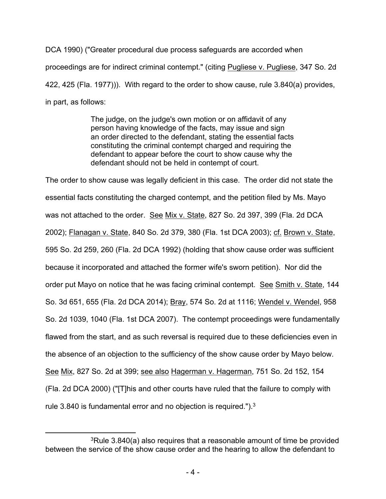DCA 1990) ("Greater procedural due process safeguards are accorded when proceedings are for indirect criminal contempt." (citing Pugliese v. Pugliese, 347 So. 2d 422, 425 (Fla. 1977))). With regard to the order to show cause, rule 3.840(a) provides, in part, as follows:

> The judge, on the judge's own motion or on affidavit of any person having knowledge of the facts, may issue and sign an order directed to the defendant, stating the essential facts constituting the criminal contempt charged and requiring the defendant to appear before the court to show cause why the defendant should not be held in contempt of court.

The order to show cause was legally deficient in this case. The order did not state the essential facts constituting the charged contempt, and the petition filed by Ms. Mayo was not attached to the order. See Mix v. State, 827 So. 2d 397, 399 (Fla. 2d DCA 2002); Flanagan v. State, 840 So. 2d 379, 380 (Fla. 1st DCA 2003); cf. Brown v. State, 595 So. 2d 259, 260 (Fla. 2d DCA 1992) (holding that show cause order was sufficient because it incorporated and attached the former wife's sworn petition). Nor did the order put Mayo on notice that he was facing criminal contempt. See Smith v. State, 144 So. 3d 651, 655 (Fla. 2d DCA 2014); Bray, 574 So. 2d at 1116; Wendel v. Wendel, 958 So. 2d 1039, 1040 (Fla. 1st DCA 2007). The contempt proceedings were fundamentally flawed from the start, and as such reversal is required due to these deficiencies even in the absence of an objection to the sufficiency of the show cause order by Mayo below. See Mix, 827 So. 2d at 399; see also Hagerman v. Hagerman, 751 So. 2d 152, 154 (Fla. 2d DCA 2000) ("[T]his and other courts have ruled that the failure to comply with rule 3.840 is fundamental error and no objection is required."). $3$ 

 $3Rule$  3.840(a) also requires that a reasonable amount of time be provided between the service of the show cause order and the hearing to allow the defendant to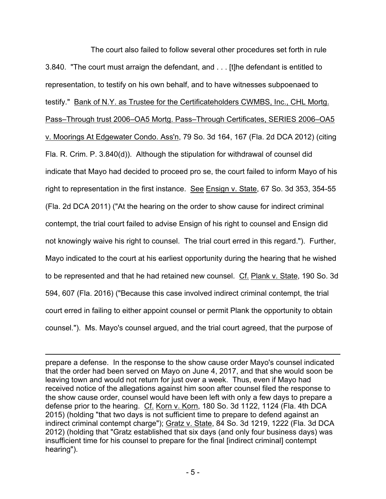The court also failed to follow several other procedures set forth in rule 3.840. "The court must arraign the defendant, and . . . [t]he defendant is entitled to representation, to testify on his own behalf, and to have witnesses subpoenaed to testify." Bank of N.Y. as Trustee for the Certificateholders CWMBS, Inc., CHL Mortg. Pass–Through trust 2006–OA5 Mortg. Pass–Through Certificates, SERIES 2006–OA5 v. Moorings At Edgewater Condo. Ass'n, 79 So. 3d 164, 167 (Fla. 2d DCA 2012) (citing Fla. R. Crim. P. 3.840(d)). Although the stipulation for withdrawal of counsel did indicate that Mayo had decided to proceed pro se, the court failed to inform Mayo of his right to representation in the first instance. See Ensign v. State, 67 So. 3d 353, 354-55 (Fla. 2d DCA 2011) ("At the hearing on the order to show cause for indirect criminal contempt, the trial court failed to advise Ensign of his right to counsel and Ensign did not knowingly waive his right to counsel. The trial court erred in this regard."). Further, Mayo indicated to the court at his earliest opportunity during the hearing that he wished to be represented and that he had retained new counsel. Cf. Plank v. State, 190 So. 3d 594, 607 (Fla. 2016) ("Because this case involved indirect criminal contempt, the trial court erred in failing to either appoint counsel or permit Plank the opportunity to obtain counsel."). Ms. Mayo's counsel argued, and the trial court agreed, that the purpose of

prepare a defense. In the response to the show cause order Mayo's counsel indicated that the order had been served on Mayo on June 4, 2017, and that she would soon be leaving town and would not return for just over a week. Thus, even if Mayo had received notice of the allegations against him soon after counsel filed the response to the show cause order, counsel would have been left with only a few days to prepare a defense prior to the hearing. Cf. Korn v. Korn, 180 So. 3d 1122, 1124 (Fla. 4th DCA 2015) (holding "that two days is not sufficient time to prepare to defend against an indirect criminal contempt charge"); Gratz v. State, 84 So. 3d 1219, 1222 (Fla. 3d DCA 2012) (holding that "Gratz established that six days (and only four business days) was insufficient time for his counsel to prepare for the final [indirect criminal] contempt hearing").